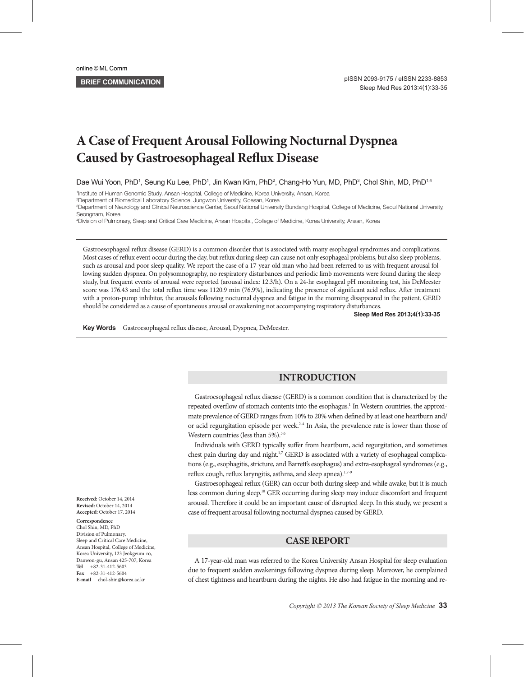# **A Case of Frequent Arousal Following Nocturnal Dyspnea Caused by Gastroesophageal Reflux Disease**

Dae Wui Yoon, PhD<sup>1</sup>, Seung Ku Lee, PhD<sup>1</sup>, Jin Kwan Kim, PhD<sup>2</sup>, Chang-Ho Yun, MD, PhD<sup>3</sup>, Chol Shin, MD, PhD<sup>1,4</sup>

1 Institute of Human Genomic Study, Ansan Hospital, College of Medicine, Korea University, Ansan, Korea

2 Department of Biomedical Laboratory Science, Jungwon University, Goesan, Korea

3 Department of Neurology and Clinical Neuroscience Center, Seoul National University Bundang Hospital, College of Medicine, Seoul National University, Seongnam, Korea

4 Division of Pulmonary, Sleep and Critical Care Medicine, Ansan Hospital, College of Medicine, Korea University, Ansan, Korea

Gastroesophageal reflux disease (GERD) is a common disorder that is associated with many esophageal syndromes and complications. Most cases of reflux event occur during the day, but reflux during sleep can cause not only esophageal problems, but also sleep problems, such as arousal and poor sleep quality. We report the case of a 17-year-old man who had been referred to us with frequent arousal following sudden dyspnea. On polysomnography, no respiratory disturbances and periodic limb movements were found during the sleep study, but frequent events of arousal were reported (arousal index: 12.3/h). On a 24-hr esophageal pH monitoring test, his DeMeester score was 176.43 and the total reflux time was 1120.9 min (76.9%), indicating the presence of significant acid reflux. After treatment with a proton-pump inhibitor, the arousals following nocturnal dyspnea and fatigue in the morning disappeared in the patient. GERD should be considered as a cause of spontaneous arousal or awakening not accompanying respiratory disturbances.

**Sleep Med Res 2013;4(1):33-35**

Key Words Gastroesophageal reflux disease, Arousal, Dyspnea, DeMeester.

## **INTRODUCTION**

Gastroesophageal reflux disease (GERD) is a common condition that is characterized by the repeated overflow of stomach contents into the esophagus.<sup>1</sup> In Western countries, the approximate prevalence of GERD ranges from 10% to 20% when defined by at least one heartburn and/ or acid regurgitation episode per week.<sup>2-4</sup> In Asia, the prevalence rate is lower than those of Western countries (less than 5%).<sup>5,6</sup>

Individuals with GERD typically suffer from heartburn, acid regurgitation, and sometimes chest pain during day and night.<sup>1,7</sup> GERD is associated with a variety of esophageal complications (e.g., esophagitis, stricture, and Barrett's esophagus) and extra-esophageal syndromes (e.g., reflux cough, reflux laryngitis, asthma, and sleep apnea).<sup>1,7-9</sup>

Gastroesophageal reflux (GER) can occur both during sleep and while awake, but it is much less common during sleep.10 GER occurring during sleep may induce discomfort and frequent arousal. Therefore it could be an important cause of disrupted sleep. In this study, we present a case of frequent arousal following nocturnal dyspnea caused by GERD.

## **CASE REPORT**

A 17-year-old man was referred to the Korea University Ansan Hospital for sleep evaluation due to frequent sudden awakenings following dyspnea during sleep. Moreover, he complained of chest tightness and heartburn during the nights. He also had fatigue in the morning and re-

**Received:** October 14, 2014 **Revised:** October 14, 2014 **Accepted:** October 17, 2014

#### **Correspondence**

Chol Shin, MD, PhD Division of Pulmonary, Sleep and Critical Care Medicine, Ansan Hospital, College of Medicine, Korea University, 123 Jeokgeum-ro, Danwon-gu, Ansan 425-707, Korea **Tel** +82-31-412-5603 **Fax** +82-31-412-5604 **E-mail** chol-shin@korea.ac.kr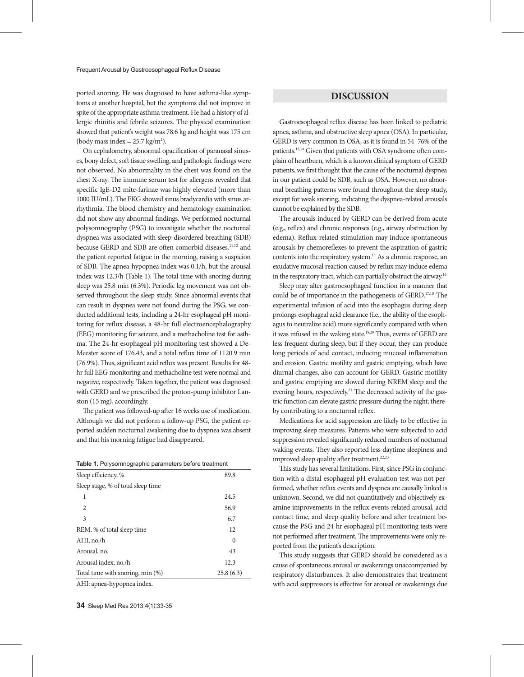ported snoring. He was diagnosed to have asthma-like symptoms at another hospital, but the symptoms did not improve in spite of the appropriate asthma treatment. He had a history of allergic rhinitis and febrile seizures. The physical examination showed that patient's weight was 78.6 kg and height was 175 cm (body mass index =  $25.7 \text{ kg/m}^2$ ).

On cephalometry, abnormal opacification of paranasal sinuses, bony defect, soft tissue swelling, and pathologic findings were not observed. No abnormality in the chest was found on the chest X-ray. The immune serum test for allergens revealed that specific IgE-D2 mite-farinae was highly elevated (more than 1000 IU/mL). The EKG showed sinus bradycardia with sinus arrhythmia. The blood chemistry and hematology examination did not show any abnormal findings. We performed nocturnal polysomnography (PSG) to investigate whether the nocturnal dyspnea was associated with sleep-disordered breathing (SDB) because GERD and SDB are often comorbid diseases.<sup>11,12</sup> and the patient reported fatigue in the morning, raising a suspicion of SDB. The apnea-hypopnea index was 0.1/h, but the arousal index was 12.3/h (Table 1). The total time with snoring during sleep was 25.8 min (6.3%). Periodic leg movement was not observed throughout the sleep study. Since abnormal events that can result in dyspnea were not found during the PSG, we conducted additional tests, including a 24-hr esophageal pH monitoring for reflux disease, a 48-hr full electroencephalography (EEG) monitoring for seizure, and a methacholine test for asthma. The 24-hr esophageal pH monitoring test showed a De-Meester score of 176.43, and a total reflux time of 1120.9 min (76.9%). Thus, significant acid reflux was present. Results for 48 hr full EEG monitoring and methacholine test were normal and negative, respectively. Taken together, the patient was diagnosed with GERD and we prescribed the proton-pump inhibitor Lanston (15 mg), accordingly.

The patient was followed-up after 16 weeks use of medication. Although we did not perform a follow-up PSG, the patient reported sudden nocturnal awakening due to dyspnea was absent and that his morning fatigue had disappeared.

| Sleep efficiency, %                | 89.8      |
|------------------------------------|-----------|
| Sleep stage, % of total sleep time |           |
| 1                                  | 24.5      |
| 2                                  | 56.9      |
| 3                                  | 6.7       |
| REM, % of total sleep time         | 12        |
| AHI, no./h                         | $\theta$  |
| Arousal, no.                       | 43        |
| Arousal index, no./h               | 12.3      |
| Total time with snoring, min (%)   | 25.8(6.3) |
| ATTE concert beams and as the door |           |

AHI: apnea-hypopnea index.

## **DISCUSSION**

Gastroesophageal reflux disease has been linked to pediatric apnea, asthma, and obstructive sleep apnea (OSA). In particular, GERD is very common in OSA, as it is found in 54–76% of the patients.13,14 Given that patients with OSA syndrome often complain of heartburn, which is a known clinical symptom of GERD patients, we first thought that the cause of the nocturnal dyspnea in our patient could be SDB, such as OSA. However, no abnormal breathing patterns were found throughout the sleep study, except for weak snoring, indicating the dyspnea-related arousals cannot be explained by the SDB.

The arousals induced by GERD can be derived from acute (e.g., reflex) and chronic responses (e.g., airway obstruction by edema). Reflux-related stimulation may induce spontaneous arousals by chemoreflexes to prevent the aspiration of gastric contents into the respiratory system.15 As a chronic response, an exudative mucosal reaction caused by reflux may induce edema in the respiratory tract, which can partially obstruct the airway.<sup>16</sup>

Sleep may alter gastroesophageal function in a manner that could be of importance in the pathogenesis of GERD.17,18 The experimental infusion of acid into the esophagus during sleep prolongs esophageal acid clearance (i.e., the ability of the esophagus to neutralize acid) more significantly compared with when it was infused in the waking state.<sup>19,20</sup> Thus, events of GERD are less frequent during sleep, but if they occur, they can produce long periods of acid contact, inducing mucosal inflammation and erosion. Gastric motility and gastric emptying, which have diurnal changes, also can account for GERD. Gastric motility and gastric emptying are slowed during NREM sleep and the evening hours, respectively.<sup>21</sup> The decreased activity of the gastric function can elevate gastric pressure during the night; thereby contributing to a nocturnal reflex.

Medications for acid suppression are likely to be effective in improving sleep measures. Patients who were subjected to acid suppression revealed significantly reduced numbers of nocturnal waking events. They also reported less daytime sleepiness and improved sleep quality after treatment.<sup>22,23</sup>

This study has several limitations. First, since PSG in conjunction with a distal esophageal pH evaluation test was not performed, whether reflux events and dyspnea are causally linked is unknown. Second, we did not quantitatively and objectively examine improvements in the reflux events-related arousal, acid contact time, and sleep quality before and after treatment because the PSG and 24-hr esophageal pH monitoring tests were not performed after treatment. The improvements were only reported from the patient's description.

This study suggests that GERD should be considered as a cause of spontaneous arousal or awakenings unaccompanied by respiratory disturbances. It also demonstrates that treatment with acid suppressors is effective for arousal or awakenings due